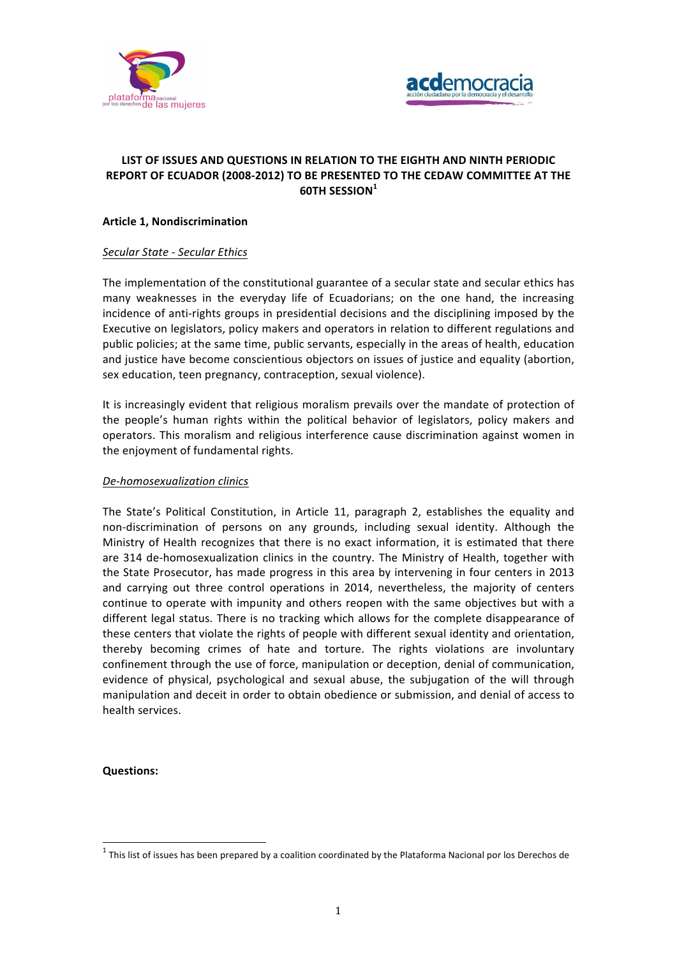



# **LIST OF ISSUES AND QUESTIONS IN RELATION TO THE EIGHTH AND NINTH PERIODIC REPORT OF ECUADOR (2008-2012) TO BE PRESENTED TO THE CEDAW COMMITTEE AT THE 60TH SESSION<sup>1</sup>**

# **Article 1, Nondiscrimination**

# *Secular State - Secular Ethics*

The implementation of the constitutional guarantee of a secular state and secular ethics has many weaknesses in the everyday life of Ecuadorians; on the one hand, the increasing incidence of anti-rights groups in presidential decisions and the disciplining imposed by the Executive on legislators, policy makers and operators in relation to different regulations and public policies; at the same time, public servants, especially in the areas of health, education and justice have become conscientious objectors on issues of justice and equality (abortion, sex education, teen pregnancy, contraception, sexual violence).

It is increasingly evident that religious moralism prevails over the mandate of protection of the people's human rights within the political behavior of legislators, policy makers and operators. This moralism and religious interference cause discrimination against women in the enjoyment of fundamental rights.

### *De-homosexualization clinics*

The State's Political Constitution, in Article 11, paragraph 2, establishes the equality and non-discrimination of persons on any grounds, including sexual identity. Although the Ministry of Health recognizes that there is no exact information, it is estimated that there are 314 de-homosexualization clinics in the country. The Ministry of Health, together with the State Prosecutor, has made progress in this area by intervening in four centers in 2013 and carrying out three control operations in 2014, nevertheless, the majority of centers continue to operate with impunity and others reopen with the same objectives but with a different legal status. There is no tracking which allows for the complete disappearance of these centers that violate the rights of people with different sexual identity and orientation, thereby becoming crimes of hate and torture. The rights violations are involuntary confinement through the use of force, manipulation or deception, denial of communication, evidence of physical, psychological and sexual abuse, the subjugation of the will through manipulation and deceit in order to obtain obedience or submission, and denial of access to health services.

#### **Questions:**

 $1$  This list of issues has been prepared by a coalition coordinated by the Plataforma Nacional por los Derechos de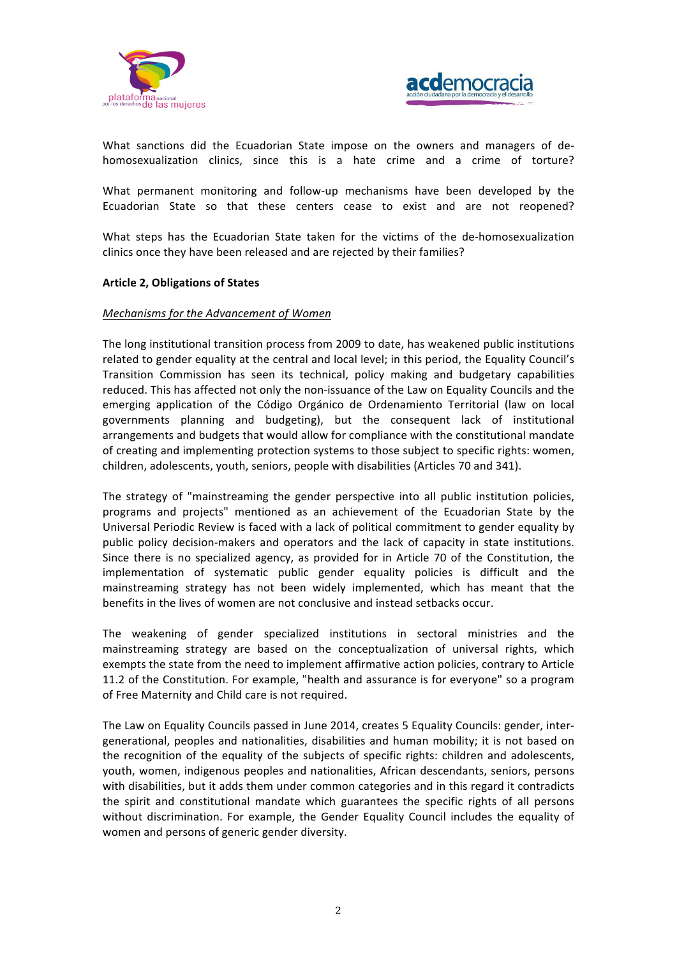



What sanctions did the Ecuadorian State impose on the owners and managers of dehomosexualization clinics, since this is a hate crime and a crime of torture?

What permanent monitoring and follow-up mechanisms have been developed by the Ecuadorian State so that these centers cease to exist and are not reopened?

What steps has the Ecuadorian State taken for the victims of the de-homosexualization clinics once they have been released and are rejected by their families?

#### **Article 2, Obligations of States**

### *Mechanisms for the Advancement of Women*

The long institutional transition process from 2009 to date, has weakened public institutions related to gender equality at the central and local level; in this period, the Equality Council's Transition Commission has seen its technical, policy making and budgetary capabilities reduced. This has affected not only the non-issuance of the Law on Equality Councils and the emerging application of the Código Orgánico de Ordenamiento Territorial (law on local governments planning and budgeting), but the consequent lack of institutional arrangements and budgets that would allow for compliance with the constitutional mandate of creating and implementing protection systems to those subject to specific rights: women, children, adolescents, youth, seniors, people with disabilities (Articles 70 and 341).

The strategy of "mainstreaming the gender perspective into all public institution policies, programs and projects" mentioned as an achievement of the Ecuadorian State by the Universal Periodic Review is faced with a lack of political commitment to gender equality by public policy decision-makers and operators and the lack of capacity in state institutions. Since there is no specialized agency, as provided for in Article 70 of the Constitution, the implementation of systematic public gender equality policies is difficult and the mainstreaming strategy has not been widely implemented, which has meant that the benefits in the lives of women are not conclusive and instead setbacks occur.

The weakening of gender specialized institutions in sectoral ministries and the mainstreaming strategy are based on the conceptualization of universal rights, which exempts the state from the need to implement affirmative action policies, contrary to Article 11.2 of the Constitution. For example, "health and assurance is for everyone" so a program of Free Maternity and Child care is not required.

The Law on Equality Councils passed in June 2014, creates 5 Equality Councils: gender, intergenerational, peoples and nationalities, disabilities and human mobility; it is not based on the recognition of the equality of the subjects of specific rights: children and adolescents, youth, women, indigenous peoples and nationalities, African descendants, seniors, persons with disabilities, but it adds them under common categories and in this regard it contradicts the spirit and constitutional mandate which guarantees the specific rights of all persons without discrimination. For example, the Gender Equality Council includes the equality of women and persons of generic gender diversity.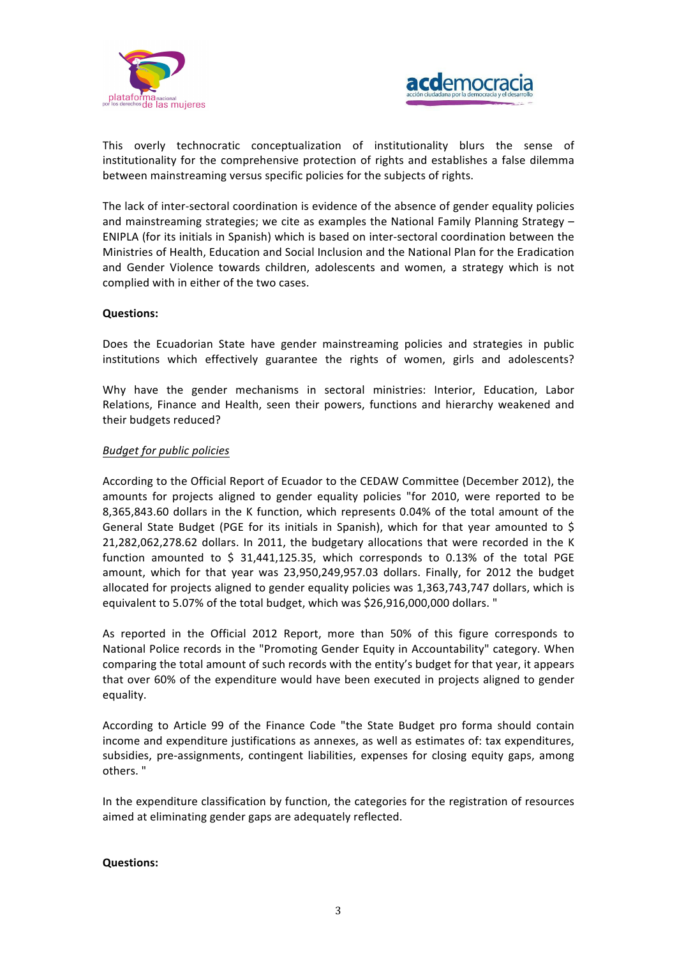



This overly technocratic conceptualization of institutionality blurs the sense of institutionality for the comprehensive protection of rights and establishes a false dilemma between mainstreaming versus specific policies for the subjects of rights.

The lack of inter-sectoral coordination is evidence of the absence of gender equality policies and mainstreaming strategies; we cite as examples the National Family Planning Strategy  $-$ ENIPLA (for its initials in Spanish) which is based on inter-sectoral coordination between the Ministries of Health, Education and Social Inclusion and the National Plan for the Eradication and Gender Violence towards children, adolescents and women, a strategy which is not complied with in either of the two cases.

### **Questions:**

Does the Ecuadorian State have gender mainstreaming policies and strategies in public institutions which effectively guarantee the rights of women, girls and adolescents?

Why have the gender mechanisms in sectoral ministries: Interior, Education, Labor Relations, Finance and Health, seen their powers, functions and hierarchy weakened and their budgets reduced?

## *Budget for public policies*

According to the Official Report of Ecuador to the CEDAW Committee (December 2012), the amounts for projects aligned to gender equality policies "for 2010, were reported to be 8,365,843.60 dollars in the K function, which represents 0.04% of the total amount of the General State Budget (PGE for its initials in Spanish), which for that year amounted to \$ 21,282,062,278.62 dollars. In 2011, the budgetary allocations that were recorded in the K function amounted to  $\zeta$  31,441,125.35, which corresponds to 0.13% of the total PGE amount, which for that year was 23,950,249,957.03 dollars. Finally, for 2012 the budget allocated for projects aligned to gender equality policies was 1,363,743,747 dollars, which is equivalent to 5.07% of the total budget, which was \$26,916,000,000 dollars. "

As reported in the Official 2012 Report, more than 50% of this figure corresponds to National Police records in the "Promoting Gender Equity in Accountability" category. When comparing the total amount of such records with the entity's budget for that year, it appears that over 60% of the expenditure would have been executed in projects aligned to gender equality.

According to Article 99 of the Finance Code "the State Budget pro forma should contain income and expenditure justifications as annexes, as well as estimates of: tax expenditures, subsidies, pre-assignments, contingent liabilities, expenses for closing equity gaps, among others. "

In the expenditure classification by function, the categories for the registration of resources aimed at eliminating gender gaps are adequately reflected.

#### **Questions:**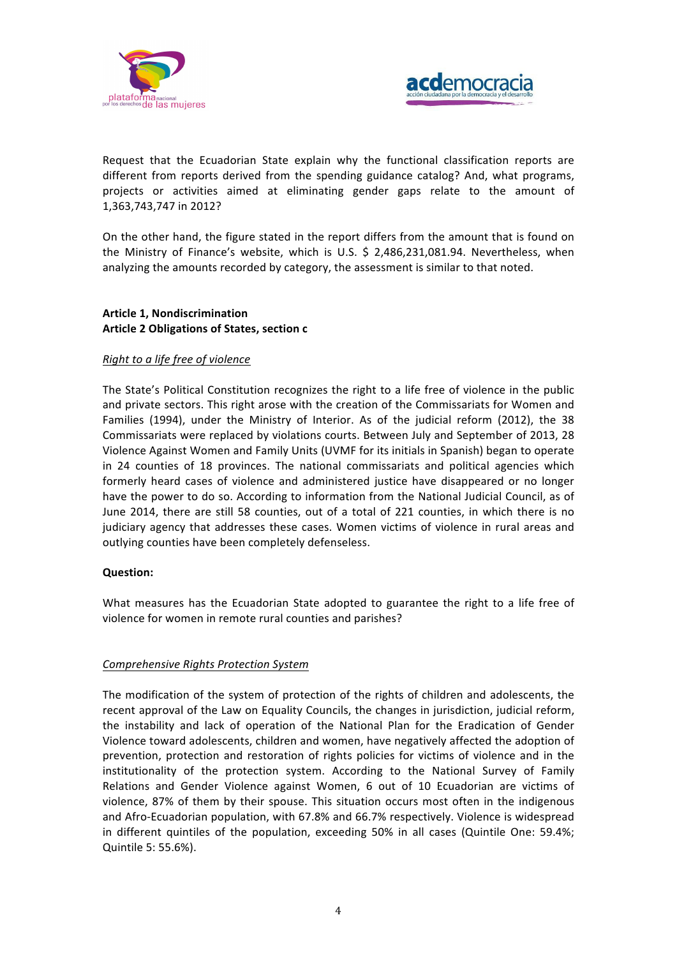



Request that the Ecuadorian State explain why the functional classification reports are different from reports derived from the spending guidance catalog? And, what programs, projects or activities aimed at eliminating gender gaps relate to the amount of 1,363,743,747 in 2012?

On the other hand, the figure stated in the report differs from the amount that is found on the Ministry of Finance's website, which is U.S. \$ 2,486,231,081.94. Nevertheless, when analyzing the amounts recorded by category, the assessment is similar to that noted.

# **Article 1, Nondiscrimination Article 2 Obligations of States, section c**

# *Right to a life free of violence*

The State's Political Constitution recognizes the right to a life free of violence in the public and private sectors. This right arose with the creation of the Commissariats for Women and Families (1994), under the Ministry of Interior. As of the judicial reform (2012), the 38 Commissariats were replaced by violations courts. Between July and September of 2013, 28 Violence Against Women and Family Units (UVMF for its initials in Spanish) began to operate in 24 counties of 18 provinces. The national commissariats and political agencies which formerly heard cases of violence and administered justice have disappeared or no longer have the power to do so. According to information from the National Judicial Council, as of June 2014, there are still 58 counties, out of a total of 221 counties, in which there is no judiciary agency that addresses these cases. Women victims of violence in rural areas and outlying counties have been completely defenseless.

#### **Question:**

What measures has the Ecuadorian State adopted to guarantee the right to a life free of violence for women in remote rural counties and parishes?

### *Comprehensive Rights Protection System*

The modification of the system of protection of the rights of children and adolescents, the recent approval of the Law on Equality Councils, the changes in jurisdiction, judicial reform, the instability and lack of operation of the National Plan for the Eradication of Gender Violence toward adolescents, children and women, have negatively affected the adoption of prevention, protection and restoration of rights policies for victims of violence and in the institutionality of the protection system. According to the National Survey of Family Relations and Gender Violence against Women, 6 out of 10 Ecuadorian are victims of violence, 87% of them by their spouse. This situation occurs most often in the indigenous and Afro-Ecuadorian population, with 67.8% and 66.7% respectively. Violence is widespread in different quintiles of the population, exceeding 50% in all cases (Quintile One: 59.4%; Quintile 5: 55.6%).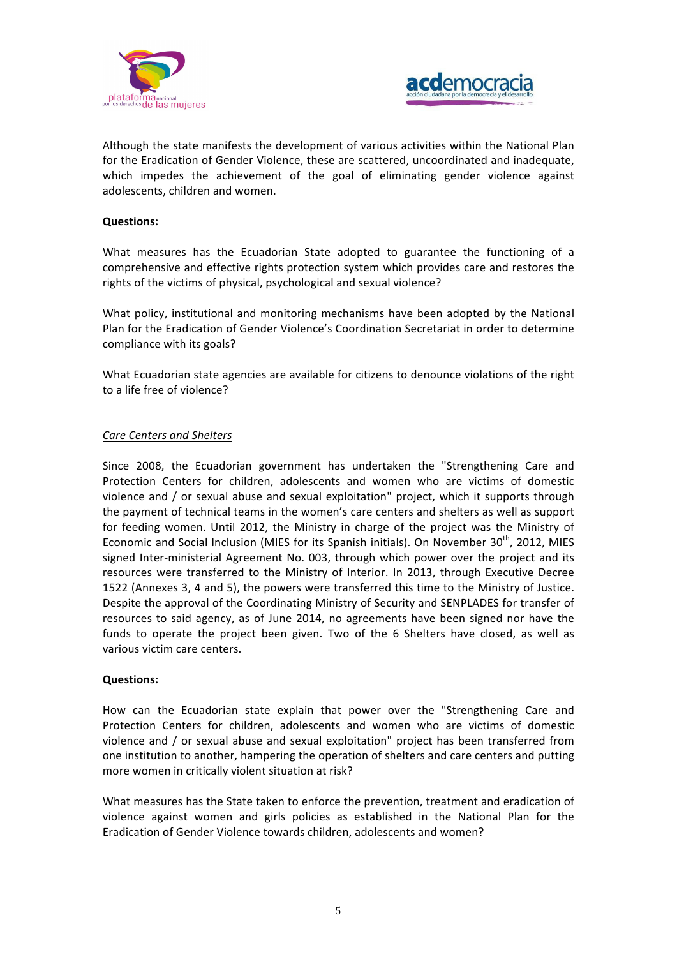



Although the state manifests the development of various activities within the National Plan for the Eradication of Gender Violence, these are scattered, uncoordinated and inadequate, which impedes the achievement of the goal of eliminating gender violence against adolescents, children and women.

### **Questions:**

What measures has the Ecuadorian State adopted to guarantee the functioning of a comprehensive and effective rights protection system which provides care and restores the rights of the victims of physical, psychological and sexual violence?

What policy, institutional and monitoring mechanisms have been adopted by the National Plan for the Eradication of Gender Violence's Coordination Secretariat in order to determine compliance with its goals?

What Ecuadorian state agencies are available for citizens to denounce violations of the right to a life free of violence?

# *Care Centers and Shelters*

Since 2008, the Ecuadorian government has undertaken the "Strengthening Care and Protection Centers for children, adolescents and women who are victims of domestic violence and / or sexual abuse and sexual exploitation" project, which it supports through the payment of technical teams in the women's care centers and shelters as well as support for feeding women. Until 2012, the Ministry in charge of the project was the Ministry of Economic and Social Inclusion (MIES for its Spanish initials). On November  $30^{th}$ , 2012, MIES signed Inter-ministerial Agreement No. 003, through which power over the project and its resources were transferred to the Ministry of Interior. In 2013, through Executive Decree 1522 (Annexes 3, 4 and 5), the powers were transferred this time to the Ministry of Justice. Despite the approval of the Coordinating Ministry of Security and SENPLADES for transfer of resources to said agency, as of June 2014, no agreements have been signed nor have the funds to operate the project been given. Two of the 6 Shelters have closed, as well as various victim care centers.

#### **Questions:**

How can the Ecuadorian state explain that power over the "Strengthening Care and Protection Centers for children, adolescents and women who are victims of domestic violence and / or sexual abuse and sexual exploitation" project has been transferred from one institution to another, hampering the operation of shelters and care centers and putting more women in critically violent situation at risk?

What measures has the State taken to enforce the prevention, treatment and eradication of violence against women and girls policies as established in the National Plan for the Eradication of Gender Violence towards children, adolescents and women?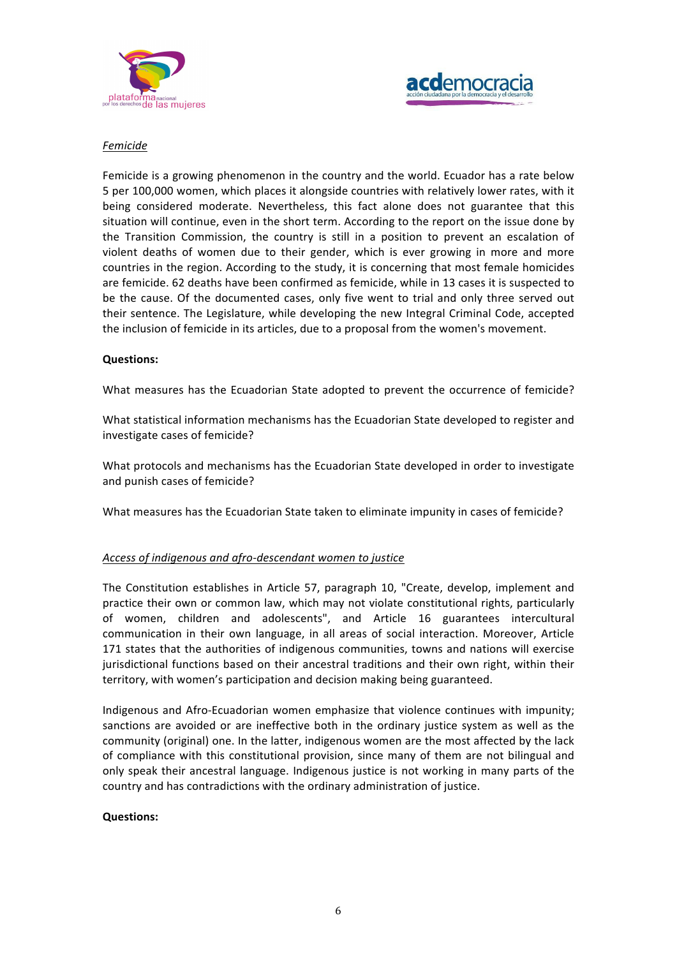



# *Femicide*

Femicide is a growing phenomenon in the country and the world. Ecuador has a rate below 5 per 100,000 women, which places it alongside countries with relatively lower rates, with it being considered moderate. Nevertheless, this fact alone does not guarantee that this situation will continue, even in the short term. According to the report on the issue done by the Transition Commission, the country is still in a position to prevent an escalation of violent deaths of women due to their gender, which is ever growing in more and more countries in the region. According to the study, it is concerning that most female homicides are femicide. 62 deaths have been confirmed as femicide, while in 13 cases it is suspected to be the cause. Of the documented cases, only five went to trial and only three served out their sentence. The Legislature, while developing the new Integral Criminal Code, accepted the inclusion of femicide in its articles, due to a proposal from the women's movement.

### **Questions:**

What measures has the Ecuadorian State adopted to prevent the occurrence of femicide?

What statistical information mechanisms has the Ecuadorian State developed to register and investigate cases of femicide?

What protocols and mechanisms has the Ecuadorian State developed in order to investigate and punish cases of femicide?

What measures has the Ecuadorian State taken to eliminate impunity in cases of femicide?

#### Access of indigenous and afro-descendant women to justice

The Constitution establishes in Article 57, paragraph 10, "Create, develop, implement and practice their own or common law, which may not violate constitutional rights, particularly of women, children and adolescents", and Article 16 guarantees intercultural communication in their own language, in all areas of social interaction. Moreover, Article 171 states that the authorities of indigenous communities, towns and nations will exercise jurisdictional functions based on their ancestral traditions and their own right, within their territory, with women's participation and decision making being guaranteed.

Indigenous and Afro-Ecuadorian women emphasize that violence continues with impunity; sanctions are avoided or are ineffective both in the ordinary justice system as well as the community (original) one. In the latter, indigenous women are the most affected by the lack of compliance with this constitutional provision, since many of them are not bilingual and only speak their ancestral language. Indigenous justice is not working in many parts of the country and has contradictions with the ordinary administration of justice.

#### **Questions:**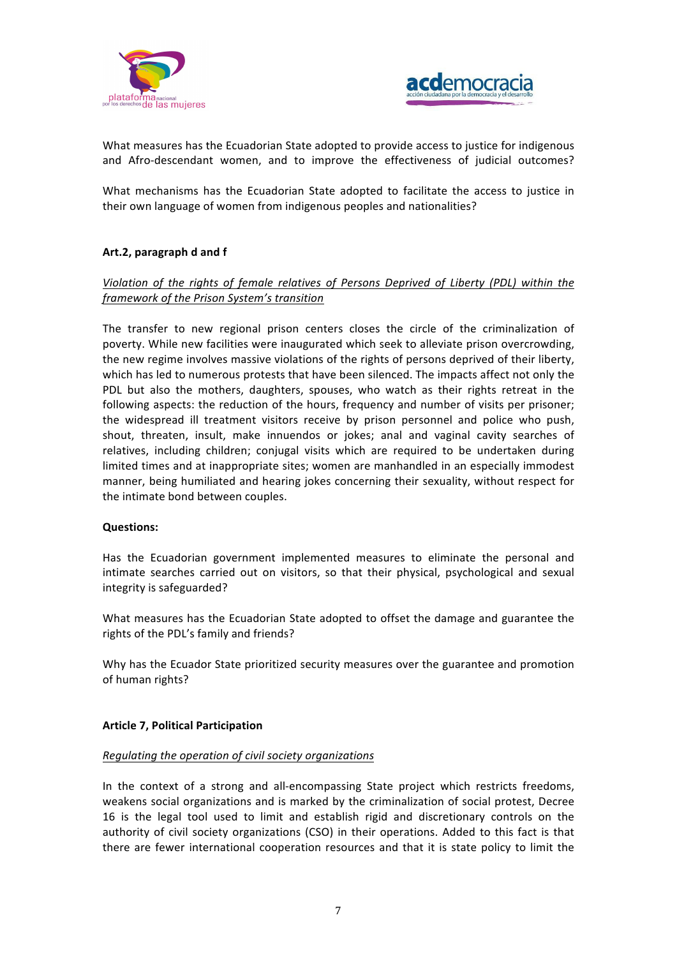



What measures has the Ecuadorian State adopted to provide access to justice for indigenous and Afro-descendant women, and to improve the effectiveness of judicial outcomes?

What mechanisms has the Ecuadorian State adopted to facilitate the access to justice in their own language of women from indigenous peoples and nationalities?

# **Art.2, paragraph d and f**

# *Violation* of the rights of female relatives of Persons Deprived of Liberty (PDL) within the *framework of the Prison System's transition*

The transfer to new regional prison centers closes the circle of the criminalization of poverty. While new facilities were inaugurated which seek to alleviate prison overcrowding, the new regime involves massive violations of the rights of persons deprived of their liberty, which has led to numerous protests that have been silenced. The impacts affect not only the PDL but also the mothers, daughters, spouses, who watch as their rights retreat in the following aspects: the reduction of the hours, frequency and number of visits per prisoner; the widespread ill treatment visitors receive by prison personnel and police who push, shout, threaten, insult, make innuendos or jokes; anal and vaginal cavity searches of relatives, including children; conjugal visits which are required to be undertaken during limited times and at inappropriate sites; women are manhandled in an especially immodest manner, being humiliated and hearing jokes concerning their sexuality, without respect for the intimate bond between couples.

#### **Questions:**

Has the Ecuadorian government implemented measures to eliminate the personal and intimate searches carried out on visitors, so that their physical, psychological and sexual integrity is safeguarded? 

What measures has the Ecuadorian State adopted to offset the damage and guarantee the rights of the PDL's family and friends?

Why has the Ecuador State prioritized security measures over the guarantee and promotion of human rights?

# **Article 7, Political Participation**

#### *Regulating the operation of civil society organizations*

In the context of a strong and all-encompassing State project which restricts freedoms, weakens social organizations and is marked by the criminalization of social protest, Decree 16 is the legal tool used to limit and establish rigid and discretionary controls on the authority of civil society organizations (CSO) in their operations. Added to this fact is that there are fewer international cooperation resources and that it is state policy to limit the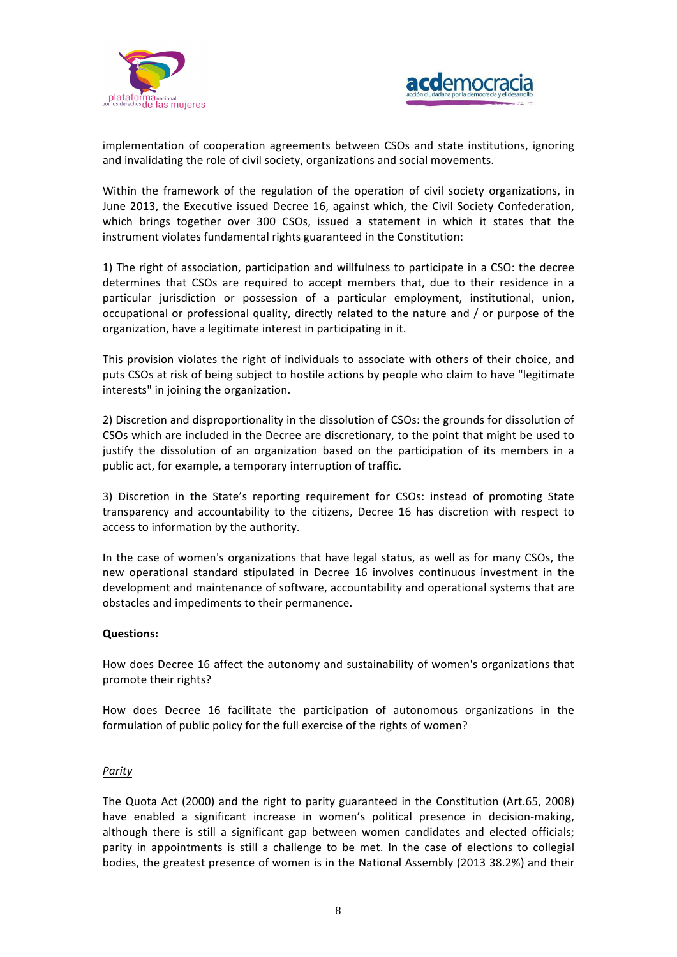



implementation of cooperation agreements between CSOs and state institutions, ignoring and invalidating the role of civil society, organizations and social movements.

Within the framework of the regulation of the operation of civil society organizations, in June 2013, the Executive issued Decree 16, against which, the Civil Society Confederation, which brings together over 300 CSOs, issued a statement in which it states that the instrument violates fundamental rights guaranteed in the Constitution:

1) The right of association, participation and willfulness to participate in a CSO: the decree determines that CSOs are required to accept members that, due to their residence in a particular jurisdiction or possession of a particular employment, institutional, union, occupational or professional quality, directly related to the nature and / or purpose of the organization, have a legitimate interest in participating in it.

This provision violates the right of individuals to associate with others of their choice, and puts CSOs at risk of being subject to hostile actions by people who claim to have "legitimate interests" in joining the organization.

2) Discretion and disproportionality in the dissolution of CSOs: the grounds for dissolution of CSOs which are included in the Decree are discretionary, to the point that might be used to justify the dissolution of an organization based on the participation of its members in a public act, for example, a temporary interruption of traffic.

3) Discretion in the State's reporting requirement for CSOs: instead of promoting State transparency and accountability to the citizens, Decree 16 has discretion with respect to access to information by the authority.

In the case of women's organizations that have legal status, as well as for many CSOs, the new operational standard stipulated in Decree 16 involves continuous investment in the development and maintenance of software, accountability and operational systems that are obstacles and impediments to their permanence.

#### **Questions:**

How does Decree 16 affect the autonomy and sustainability of women's organizations that promote their rights?

How does Decree 16 facilitate the participation of autonomous organizations in the formulation of public policy for the full exercise of the rights of women?

#### *Parity*

The Quota Act (2000) and the right to parity guaranteed in the Constitution (Art.65, 2008) have enabled a significant increase in women's political presence in decision-making, although there is still a significant gap between women candidates and elected officials; parity in appointments is still a challenge to be met. In the case of elections to collegial bodies, the greatest presence of women is in the National Assembly (2013 38.2%) and their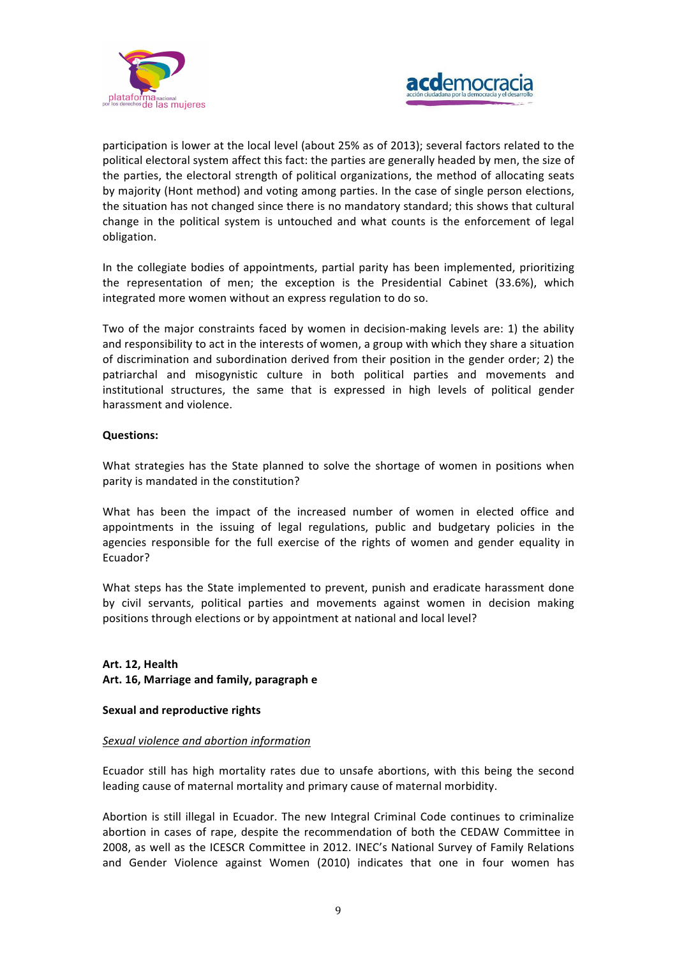



participation is lower at the local level (about 25% as of 2013); several factors related to the political electoral system affect this fact: the parties are generally headed by men, the size of the parties, the electoral strength of political organizations, the method of allocating seats by majority (Hont method) and voting among parties. In the case of single person elections, the situation has not changed since there is no mandatory standard; this shows that cultural change in the political system is untouched and what counts is the enforcement of legal obligation.

In the collegiate bodies of appointments, partial parity has been implemented, prioritizing the representation of men; the exception is the Presidential Cabinet (33.6%), which integrated more women without an express regulation to do so.

Two of the major constraints faced by women in decision-making levels are: 1) the ability and responsibility to act in the interests of women, a group with which they share a situation of discrimination and subordination derived from their position in the gender order; 2) the patriarchal and misogynistic culture in both political parties and movements and institutional structures, the same that is expressed in high levels of political gender harassment and violence.

# **Questions:**

What strategies has the State planned to solve the shortage of women in positions when parity is mandated in the constitution?

What has been the impact of the increased number of women in elected office and appointments in the issuing of legal regulations, public and budgetary policies in the agencies responsible for the full exercise of the rights of women and gender equality in Ecuador? 

What steps has the State implemented to prevent, punish and eradicate harassment done by civil servants, political parties and movements against women in decision making positions through elections or by appointment at national and local level?

# Art. 12, Health **Art. 16, Marriage and family, paragraph e**

# **Sexual and reproductive rights**

#### *Sexual violence and abortion information*

Ecuador still has high mortality rates due to unsafe abortions, with this being the second leading cause of maternal mortality and primary cause of maternal morbidity.

Abortion is still illegal in Ecuador. The new Integral Criminal Code continues to criminalize abortion in cases of rape, despite the recommendation of both the CEDAW Committee in 2008, as well as the ICESCR Committee in 2012. INEC's National Survey of Family Relations and Gender Violence against Women (2010) indicates that one in four women has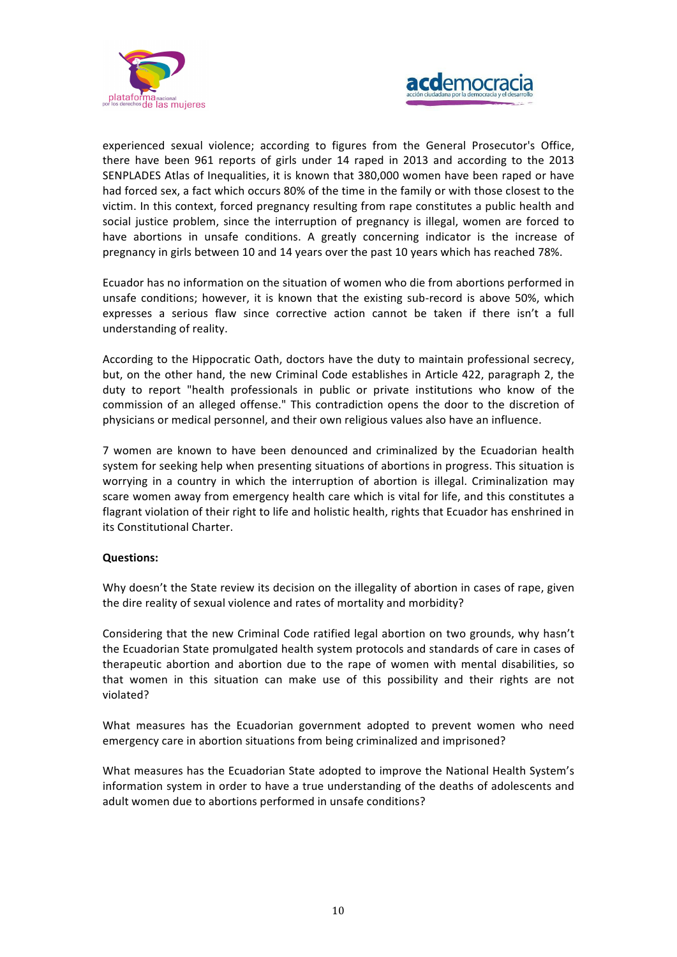



experienced sexual violence; according to figures from the General Prosecutor's Office, there have been 961 reports of girls under 14 raped in 2013 and according to the 2013 SENPLADES Atlas of Inequalities, it is known that 380,000 women have been raped or have had forced sex, a fact which occurs 80% of the time in the family or with those closest to the victim. In this context, forced pregnancy resulting from rape constitutes a public health and social justice problem, since the interruption of pregnancy is illegal, women are forced to have abortions in unsafe conditions. A greatly concerning indicator is the increase of pregnancy in girls between 10 and 14 years over the past 10 years which has reached 78%.

Ecuador has no information on the situation of women who die from abortions performed in unsafe conditions; however, it is known that the existing sub-record is above 50%, which expresses a serious flaw since corrective action cannot be taken if there isn't a full understanding of reality.

According to the Hippocratic Oath, doctors have the duty to maintain professional secrecy, but, on the other hand, the new Criminal Code establishes in Article 422, paragraph 2, the duty to report "health professionals in public or private institutions who know of the commission of an alleged offense." This contradiction opens the door to the discretion of physicians or medical personnel, and their own religious values also have an influence.

7 women are known to have been denounced and criminalized by the Ecuadorian health system for seeking help when presenting situations of abortions in progress. This situation is worrying in a country in which the interruption of abortion is illegal. Criminalization may scare women away from emergency health care which is vital for life, and this constitutes a flagrant violation of their right to life and holistic health, rights that Ecuador has enshrined in its Constitutional Charter.

# **Questions:**

Why doesn't the State review its decision on the illegality of abortion in cases of rape, given the dire reality of sexual violence and rates of mortality and morbidity?

Considering that the new Criminal Code ratified legal abortion on two grounds, why hasn't the Ecuadorian State promulgated health system protocols and standards of care in cases of therapeutic abortion and abortion due to the rape of women with mental disabilities, so that women in this situation can make use of this possibility and their rights are not violated?

What measures has the Ecuadorian government adopted to prevent women who need emergency care in abortion situations from being criminalized and imprisoned?

What measures has the Ecuadorian State adopted to improve the National Health System's information system in order to have a true understanding of the deaths of adolescents and adult women due to abortions performed in unsafe conditions?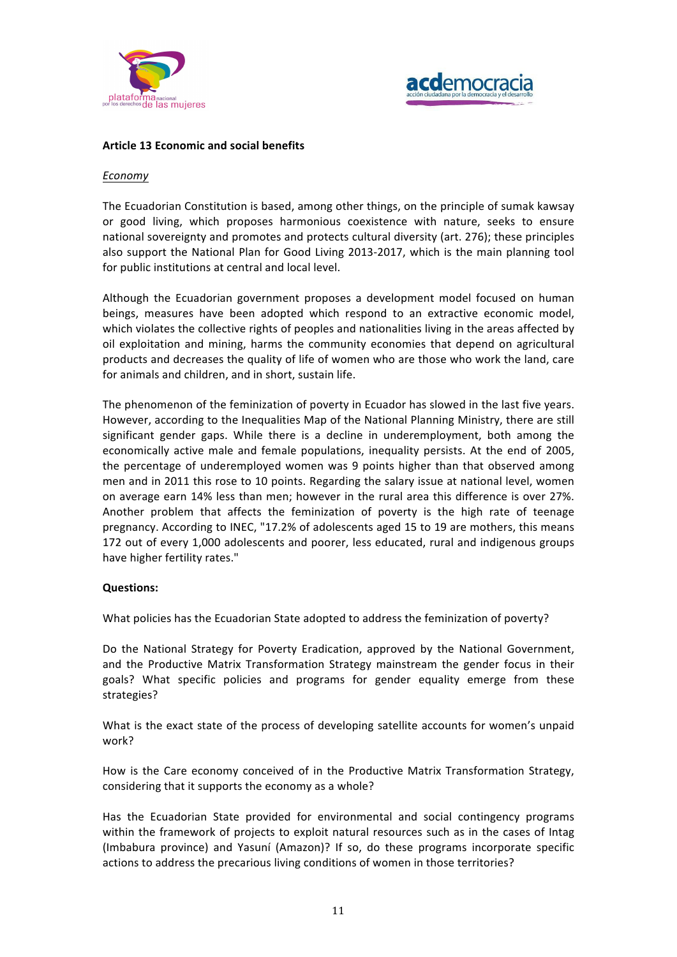



### **Article 13 Economic and social benefits**

#### *Economy*

The Ecuadorian Constitution is based, among other things, on the principle of sumak kawsay or good living, which proposes harmonious coexistence with nature, seeks to ensure national sovereignty and promotes and protects cultural diversity (art. 276); these principles also support the National Plan for Good Living 2013-2017, which is the main planning tool for public institutions at central and local level.

Although the Ecuadorian government proposes a development model focused on human beings, measures have been adopted which respond to an extractive economic model, which violates the collective rights of peoples and nationalities living in the areas affected by oil exploitation and mining, harms the community economies that depend on agricultural products and decreases the quality of life of women who are those who work the land, care for animals and children, and in short, sustain life.

The phenomenon of the feminization of poverty in Ecuador has slowed in the last five years. However, according to the Inequalities Map of the National Planning Ministry, there are still significant gender gaps. While there is a decline in underemployment, both among the economically active male and female populations, inequality persists. At the end of 2005, the percentage of underemployed women was 9 points higher than that observed among men and in 2011 this rose to 10 points. Regarding the salary issue at national level, women on average earn 14% less than men; however in the rural area this difference is over 27%. Another problem that affects the feminization of poverty is the high rate of teenage pregnancy. According to INEC, "17.2% of adolescents aged 15 to 19 are mothers, this means 172 out of every 1,000 adolescents and poorer, less educated, rural and indigenous groups have higher fertility rates."

# **Questions:**

What policies has the Ecuadorian State adopted to address the feminization of poverty?

Do the National Strategy for Poverty Eradication, approved by the National Government, and the Productive Matrix Transformation Strategy mainstream the gender focus in their goals? What specific policies and programs for gender equality emerge from these strategies?

What is the exact state of the process of developing satellite accounts for women's unpaid work?

How is the Care economy conceived of in the Productive Matrix Transformation Strategy, considering that it supports the economy as a whole?

Has the Ecuadorian State provided for environmental and social contingency programs within the framework of projects to exploit natural resources such as in the cases of Intag (Imbabura province) and Yasuní (Amazon)? If so, do these programs incorporate specific actions to address the precarious living conditions of women in those territories?